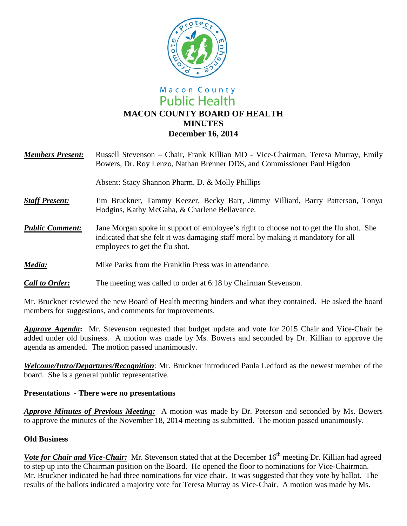

# Macon County **Public Health MACON COUNTY BOARD OF HEALTH MINUTES December 16, 2014**

| <b>Members Present:</b> | Russell Stevenson – Chair, Frank Killian MD - Vice-Chairman, Teresa Murray, Emily<br>Bowers, Dr. Roy Lenzo, Nathan Brenner DDS, and Commissioner Paul Higdon                                                    |
|-------------------------|-----------------------------------------------------------------------------------------------------------------------------------------------------------------------------------------------------------------|
|                         | Absent: Stacy Shannon Pharm. D. & Molly Phillips                                                                                                                                                                |
| <b>Staff Present:</b>   | Jim Bruckner, Tammy Keezer, Becky Barr, Jimmy Villiard, Barry Patterson, Tonya<br>Hodgins, Kathy McGaha, & Charlene Bellavance.                                                                                 |
| <b>Public Comment:</b>  | Jane Morgan spoke in support of employee's right to choose not to get the flu shot. She<br>indicated that she felt it was damaging staff moral by making it mandatory for all<br>employees to get the flu shot. |
| Media:                  | Mike Parks from the Franklin Press was in attendance.                                                                                                                                                           |
| <b>Call to Order:</b>   | The meeting was called to order at 6:18 by Chairman Stevenson.                                                                                                                                                  |

Mr. Bruckner reviewed the new Board of Health meeting binders and what they contained. He asked the board members for suggestions, and comments for improvements.

*Approve Agenda***:** Mr. Stevenson requested that budget update and vote for 2015 Chair and Vice-Chair be added under old business. A motion was made by Ms. Bowers and seconded by Dr. Killian to approve the agenda as amended. The motion passed unanimously.

*Welcome/Intro/Departures/Recognition*: Mr. Bruckner introduced Paula Ledford as the newest member of the board. She is a general public representative.

### **Presentations - There were no presentations**

*Approve Minutes of Previous Meeting:* A motion was made by Dr. Peterson and seconded by Ms. Bowers to approve the minutes of the November 18, 2014 meeting as submitted. The motion passed unanimously.

### **Old Business**

*Vote for Chair and Vice-Chair:* Mr. Stevenson stated that at the December 16<sup>th</sup> meeting Dr. Killian had agreed to step up into the Chairman position on the Board. He opened the floor to nominations for Vice-Chairman. Mr. Bruckner indicated he had three nominations for vice chair. It was suggested that they vote by ballot. The results of the ballots indicated a majority vote for Teresa Murray as Vice-Chair. A motion was made by Ms.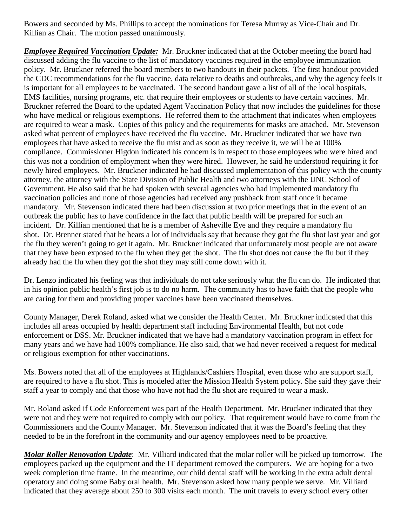Bowers and seconded by Ms. Phillips to accept the nominations for Teresa Murray as Vice-Chair and Dr. Killian as Chair. The motion passed unanimously.

*Employee Required Vaccination Update:* Mr. Bruckner indicated that at the October meeting the board had discussed adding the flu vaccine to the list of mandatory vaccines required in the employee immunization policy. Mr. Bruckner referred the board members to two handouts in their packets. The first handout provided the CDC recommendations for the flu vaccine, data relative to deaths and outbreaks, and why the agency feels it is important for all employees to be vaccinated. The second handout gave a list of all of the local hospitals, EMS facilities, nursing programs, etc. that require their employees or students to have certain vaccines. Mr. Bruckner referred the Board to the updated Agent Vaccination Policy that now includes the guidelines for those who have medical or religious exemptions. He referred them to the attachment that indicates when employees are required to wear a mask. Copies of this policy and the requirements for masks are attached. Mr. Stevenson asked what percent of employees have received the flu vaccine. Mr. Bruckner indicated that we have two employees that have asked to receive the flu mist and as soon as they receive it, we will be at 100% compliance. Commissioner Higdon indicated his concern is in respect to those employees who were hired and this was not a condition of employment when they were hired. However, he said he understood requiring it for newly hired employees. Mr. Bruckner indicated he had discussed implementation of this policy with the county attorney, the attorney with the State Division of Public Health and two attorneys with the UNC School of Government. He also said that he had spoken with several agencies who had implemented mandatory flu vaccination policies and none of those agencies had received any pushback from staff once it became mandatory. Mr. Stevenson indicated there had been discussion at two prior meetings that in the event of an outbreak the public has to have confidence in the fact that public health will be prepared for such an incident. Dr. Killian mentioned that he is a member of Asheville Eye and they require a mandatory flu shot. Dr. Brenner stated that he hears a lot of individuals say that because they got the flu shot last year and got the flu they weren't going to get it again. Mr. Bruckner indicated that unfortunately most people are not aware that they have been exposed to the flu when they get the shot. The flu shot does not cause the flu but if they already had the flu when they got the shot they may still come down with it.

Dr. Lenzo indicated his feeling was that individuals do not take seriously what the flu can do. He indicated that in his opinion public health's first job is to do no harm. The community has to have faith that the people who are caring for them and providing proper vaccines have been vaccinated themselves.

County Manager, Derek Roland, asked what we consider the Health Center. Mr. Bruckner indicated that this includes all areas occupied by health department staff including Environmental Health, but not code enforcement or DSS. Mr. Bruckner indicated that we have had a mandatory vaccination program in effect for many years and we have had 100% compliance. He also said, that we had never received a request for medical or religious exemption for other vaccinations.

Ms. Bowers noted that all of the employees at Highlands/Cashiers Hospital, even those who are support staff, are required to have a flu shot. This is modeled after the Mission Health System policy. She said they gave their staff a year to comply and that those who have not had the flu shot are required to wear a mask.

Mr. Roland asked if Code Enforcement was part of the Health Department. Mr. Bruckner indicated that they were not and they were not required to comply with our policy. That requirement would have to come from the Commissioners and the County Manager. Mr. Stevenson indicated that it was the Board's feeling that they needed to be in the forefront in the community and our agency employees need to be proactive.

*Molar Roller Renovation Update*: Mr. Villiard indicated that the molar roller will be picked up tomorrow. The employees packed up the equipment and the IT department removed the computers. We are hoping for a two week completion time frame. In the meantime, our child dental staff will be working in the extra adult dental operatory and doing some Baby oral health. Mr. Stevenson asked how many people we serve. Mr. Villiard indicated that they average about 250 to 300 visits each month. The unit travels to every school every other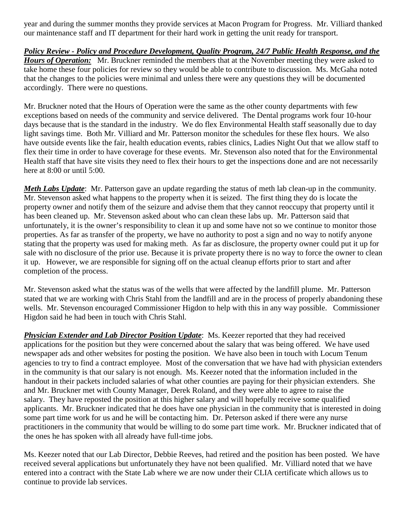year and during the summer months they provide services at Macon Program for Progress. Mr. Villiard thanked our maintenance staff and IT department for their hard work in getting the unit ready for transport.

*Policy Review - Policy and Procedure Development, Quality Program, 24/7 Public Health Response, and the Hours of Operation:* Mr. Bruckner reminded the members that at the November meeting they were asked to take home these four policies for review so they would be able to contribute to discussion. Ms. McGaha noted that the changes to the policies were minimal and unless there were any questions they will be documented accordingly. There were no questions.

Mr. Bruckner noted that the Hours of Operation were the same as the other county departments with few exceptions based on needs of the community and service delivered. The Dental programs work four 10-hour days because that is the standard in the industry. We do flex Environmental Health staff seasonally due to day light savings time. Both Mr. Villiard and Mr. Patterson monitor the schedules for these flex hours. We also have outside events like the fair, health education events, rabies clinics, Ladies Night Out that we allow staff to flex their time in order to have coverage for these events. Mr. Stevenson also noted that for the Environmental Health staff that have site visits they need to flex their hours to get the inspections done and are not necessarily here at 8:00 or until 5:00.

*Meth Labs Update*: Mr. Patterson gave an update regarding the status of meth lab clean-up in the community. Mr. Stevenson asked what happens to the property when it is seized. The first thing they do is locate the property owner and notify them of the seizure and advise them that they cannot reoccupy that property until it has been cleaned up. Mr. Stevenson asked about who can clean these labs up. Mr. Patterson said that unfortunately, it is the owner's responsibility to clean it up and some have not so we continue to monitor those properties. As far as transfer of the property, we have no authority to post a sign and no way to notify anyone stating that the property was used for making meth. As far as disclosure, the property owner could put it up for sale with no disclosure of the prior use. Because it is private property there is no way to force the owner to clean it up. However, we are responsible for signing off on the actual cleanup efforts prior to start and after completion of the process.

Mr. Stevenson asked what the status was of the wells that were affected by the landfill plume. Mr. Patterson stated that we are working with Chris Stahl from the landfill and are in the process of properly abandoning these wells. Mr. Stevenson encouraged Commissioner Higdon to help with this in any way possible. Commissioner Higdon said he had been in touch with Chris Stahl.

*Physician Extender and Lab Director Position Update*: Ms. Keezer reported that they had received applications for the position but they were concerned about the salary that was being offered. We have used newspaper ads and other websites for posting the position. We have also been in touch with Locum Tenum agencies to try to find a contract employee. Most of the conversation that we have had with physician extenders in the community is that our salary is not enough. Ms. Keezer noted that the information included in the handout in their packets included salaries of what other counties are paying for their physician extenders. She and Mr. Bruckner met with County Manager, Derek Roland, and they were able to agree to raise the salary. They have reposted the position at this higher salary and will hopefully receive some qualified applicants. Mr. Bruckner indicated that he does have one physician in the community that is interested in doing some part time work for us and he will be contacting him. Dr. Peterson asked if there were any nurse practitioners in the community that would be willing to do some part time work. Mr. Bruckner indicated that of the ones he has spoken with all already have full-time jobs.

Ms. Keezer noted that our Lab Director, Debbie Reeves, had retired and the position has been posted. We have received several applications but unfortunately they have not been qualified. Mr. Villiard noted that we have entered into a contract with the State Lab where we are now under their CLIA certificate which allows us to continue to provide lab services.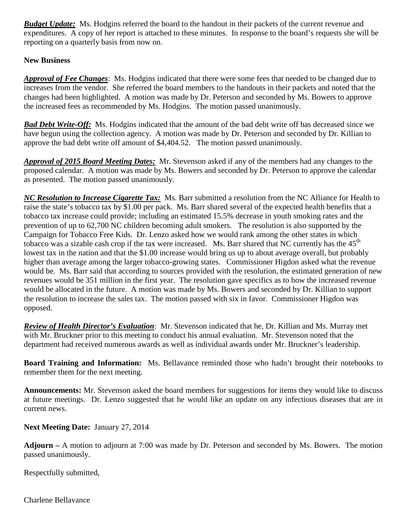*Budget Update:*Ms. Hodgins referred the board to the handout in their packets of the current revenue and expenditures. A copy of her report is attached to these minutes. In response to the board's requests she will be reporting on a quarterly basis from now on.

## **New Business**

*Approval of Fee Changes*: Ms. Hodgins indicated that there were some fees that needed to be changed due to increases from the vendor. She referred the board members to the handouts in their packets and noted that the changes had been highlighted. A motion was made by Dr. Peterson and seconded by Ms. Bowers to approve the increased fees as recommended by Ms. Hodgins. The motion passed unanimously.

*Bad Debt Write-Off:* Ms. Hodgins indicated that the amount of the bad debt write off has decreased since we have begun using the collection agency. A motion was made by Dr. Peterson and seconded by Dr. Killian to approve the bad debt write off amount of \$4,404.52. The motion passed unanimously.

*Approval of 2015 Board Meeting Dates:* Mr. Stevenson asked if any of the members had any changes to the proposed calendar. A motion was made by Ms. Bowers and seconded by Dr. Peterson to approve the calendar as presented. The motion passed unanimously.

*NC Resolution to Increase Cigarette Tax:* Ms. Barr submitted a resolution from the NC Alliance for Health to raise the state's tobacco tax by \$1.00 per pack. Ms. Barr shared several of the expected health benefits that a tobacco tax increase could provide; including an estimated 15.5% decrease in youth smoking rates and the prevention of up to 62,700 NC children becoming adult smokers. The resolution is also supported by the Campaign for Tobacco Free Kids. Dr. Lenzo asked how we would rank among the other states in which tobacco was a sizable cash crop if the tax were increased. Ms. Barr shared that NC currently has the  $45<sup>th</sup>$ lowest tax in the nation and that the \$1.00 increase would bring us up to about average overall, but probably higher than average among the larger tobacco-growing states. Commissioner Higdon asked what the revenue would be. Ms. Barr said that according to sources provided with the resolution, the estimated generation of new revenues would be 351 million in the first year. The resolution gave specifics as to how the increased revenue would be allocated in the future. A motion was made by Ms. Bowers and seconded by Dr. Killian to support the resolution to increase the sales tax. The motion passed with six in favor. Commissioner Higdon was opposed.

*Review of Health Director's Evaluation*:Mr. Stevenson indicated that he, Dr. Killian and Ms. Murray met with Mr. Bruckner prior to this meeting to conduct his annual evaluation. Mr. Stevenson noted that the department had received numerous awards as well as individual awards under Mr. Bruckner's leadership.

**Board Training and Information:** Ms. Bellavance reminded those who hadn't brought their notebooks to remember them for the next meeting.

**Announcements:** Mr. Stevenson asked the board members for suggestions for items they would like to discuss at future meetings. Dr. Lenzo suggested that he would like an update on any infectious diseases that are in current news.

### **Next Meeting Date:** January 27, 2014

**Adjourn –** A motion to adjourn at 7:00 was made by Dr. Peterson and seconded by Ms. Bowers. The motion passed unanimously.

Respectfully submitted,